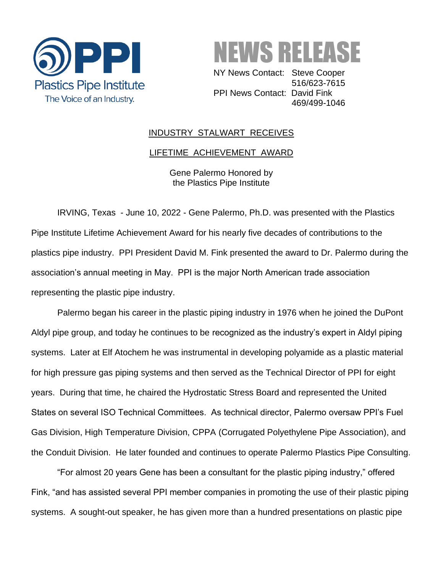



 NY News Contact: Steve Cooper 516/623-7615 PPI News Contact: David Fink 469/499-1046

## INDUSTRY STALWART RECEIVES

## LIFETIME ACHIEVEMENT AWARD

Gene Palermo Honored by the Plastics Pipe Institute

IRVING, Texas - June 10, 2022 - Gene Palermo, Ph.D. was presented with the Plastics Pipe Institute Lifetime Achievement Award for his nearly five decades of contributions to the plastics pipe industry. PPI President David M. Fink presented the award to Dr. Palermo during the association's annual meeting in May. PPI is the major North American trade association representing the plastic pipe industry.

Palermo began his career in the plastic piping industry in 1976 when he joined the DuPont Aldyl pipe group, and today he continues to be recognized as the industry's expert in Aldyl piping systems. Later at Elf Atochem he was instrumental in developing polyamide as a plastic material for high pressure gas piping systems and then served as the Technical Director of PPI for eight years. During that time, he chaired the Hydrostatic Stress Board and represented the United States on several ISO Technical Committees. As technical director, Palermo oversaw PPI's Fuel Gas Division, High Temperature Division, CPPA (Corrugated Polyethylene Pipe Association), and the Conduit Division. He later founded and continues to operate Palermo Plastics Pipe Consulting.

"For almost 20 years Gene has been a consultant for the plastic piping industry," offered Fink, "and has assisted several PPI member companies in promoting the use of their plastic piping systems. A sought-out speaker, he has given more than a hundred presentations on plastic pipe